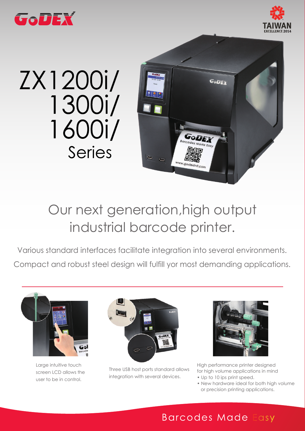



## ZX1200i/ 1300i/ 1600i/ Series



## Our next generation,high output industrial barcode printer.

Various standard interfaces facilitate integration into several environments. Compact and robust steel design will fulfill yor most demanding applications.



Large intuitive touch screen LCD allows the user to be in control.



Three USB host ports standard allows integration with several devices.



High performance printer designed for high volume applications in mind

- Up to 10 ips print speed.
- New hardware ideal for both high volume or precision printing applications.

## **Barcodes Made Easy**